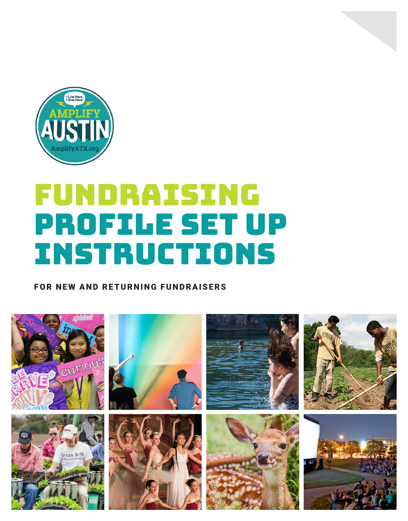

# FUNDRAISING PROFILE SET UP INSTRUCTIONS

FOR NEW AND RETURNING FUNDRAISERS

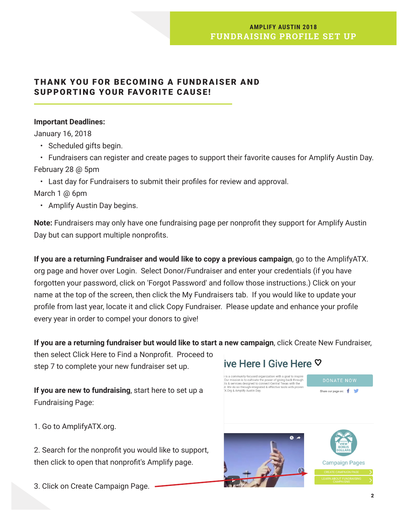## **AMPLIFY AUSTIN 2018 FUNDRAISING PROFILE SET UP**

# THANK YOU FOR BECOMING A FUNDRAISER AND SUPPORTING YOUR FAVORITE CAUSE!

### **Important Deadlines:**

January 16, 2018

- Scheduled gifts begin.
- Fundraisers can register and create pages to support their favorite causes for Amplify Austin Day. February 28 @ 5pm
	- Last day for Fundraisers to submit their profiles for review and approval.
- March 1 @ 6pm
	- Amplify Austin Day begins.

**Note:** Fundraisers may only have one fundraising page per nonprofit they support for Amplify Austin Day but can support multiple nonprofits.

**If you are a returning Fundraiser and would like to copy a previous campaign**, go to the AmplifyATX. org page and hover over Login. Select Donor/Fundraiser and enter your credentials (if you have forgotten your password, click on 'Forgot Password' and follow those instructions.) Click on your name at the top of the screen, then click the My Fundraisers tab. If you would like to update your profile from last year, locate it and click Copy Fundraiser. Please update and enhance your profile every year in order to compel your donors to give!

# **If you are a returning fundraiser but would like to start a new campaign**, click Create New Fundraiser,

then select Click Here to Find a Nonprofit. Proceed to step 7 to complete your new fundraiser set up.

**If you are new to fundraising**, start here to set up a Fundraising Page:

1. Go to AmplifyATX.org.

2. Search for the nonprofit you would like to support, then click to open that nonprofit's Amplify page.

3. Click on Create Campaign Page.

# ive Here I Give Here ♡

is a community-focused organization with a goal to inspire Fisca continuative procedure propriate the power of giving back through the during the control of giving back through the st. Services designed to connect Central Texas with the rt. We do so through integrated & effective

Share our page on: f



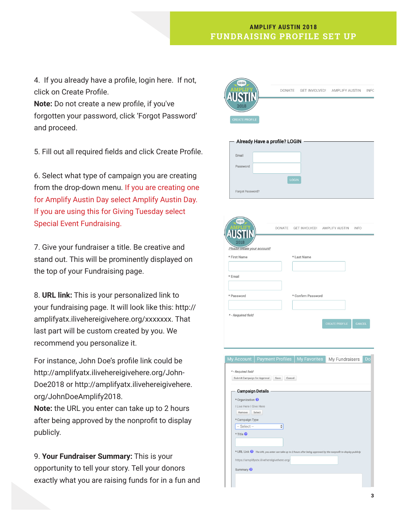#### **AMPLIFY AUSTIN 2018 FUNDRAISING PROFILE SET UP**

4. If you already have a profile, login here. If not, click on Create Profile.

**Note:** Do not create a new profile, if you've forgotten your password, click 'Forgot Password' and proceed.

5. Fill out all required fields and click Create Profile.

6. Select what type of campaign you are creating from the drop-down menu. If you are creating one for Amplify Austin Day select Amplify Austin Day. If you are using this for Giving Tuesday select Special Event Fundraising.

7. Give your fundraiser a title. Be creative and stand out. This will be prominently displayed on the top of your Fundraising page.

8. **URL link:** This is your personalized link to your fundraising page. It will look like this: http:// amplifyatx.ilivehereigivehere.org/xxxxxxx. That last part will be custom created by you. We recommend you personalize it.

For instance, John Doe's profile link could be http://amplifyatx.ilivehereigivehere.org/John-Doe2018 or http://amplifyatx.ilivehereigivehere. org/JohnDoeAmplify2018.

**Note:** the URL you enter can take up to 2 hours after being approved by the nonprofit to display publicly.

9. **Your Fundraiser Summary:** This is your opportunity to tell your story. Tell your donors exactly what you are raising funds for in a fun and



-- Select -

Summary <sup>@</sup>

\* Title <sup>©</sup>

 $\overline{\bullet}$ 

\* URL Link <sup>2</sup> The URL you enter can take up to 2 hours after be

https://amplifyatx.ilivehereigivehere.org/